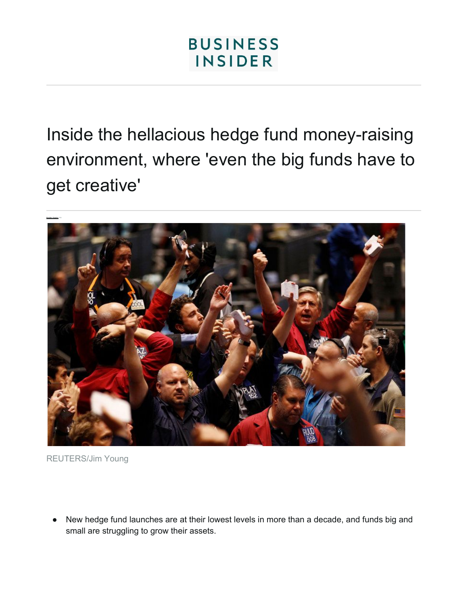Inside the hellacious hedge fund money-raising environment, where 'even the big funds have to get creative'



REUTERS/Jim Young

New hedge fund launches are at their lowest levels in more than a decade, and funds big and small are struggling to grow their assets.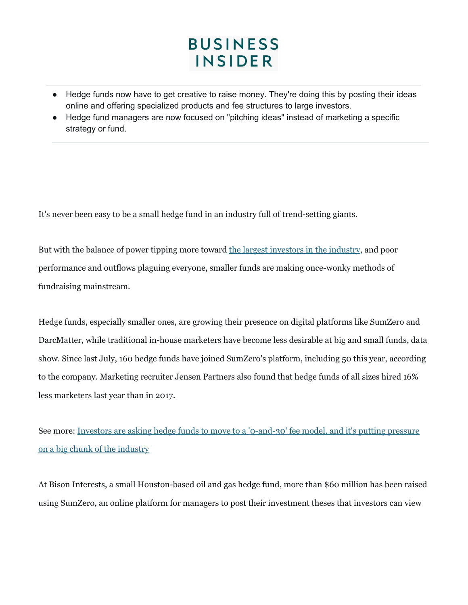- Hedge funds now have to get creative to raise money. They're doing this by posting their ideas online and offering specialized products and fee structures to large investors.
- Hedge fund managers are now focused on "pitching ideas" instead of marketing a specific strategy or fund.

It's never been easy to be a small hedge fund in an industry full of trend-setting giants.

But with the balance of power tipping more toward the largest [investors](https://www.businessinsider.com/hedge-funds-are-becoming-less-risky-2019-2) in the industry, and poor performance and outflows plaguing everyone, smaller funds are making once-wonky methods of fundraising mainstream.

Hedge funds, especially smaller ones, are growing their presence on digital platforms like SumZero and DarcMatter, while traditional in-house marketers have become less desirable at big and small funds, data show. Since last July, 160 hedge funds have joined SumZero's platform, including 50 this year, according to the company. Marketing recruiter Jensen Partners also found that hedge funds of all sizes hired 16% less marketers last year than in 2017.

See more: Investors are asking hedge funds to move to a ['0-and-30'](https://www.businessinsider.com/hedge-funds-moving-to-0-management-fees-2019-2) fee model, and it's putting pressure on a big chunk of the [industry](https://www.businessinsider.com/hedge-funds-moving-to-0-management-fees-2019-2)

At Bison Interests, a small Houston-based oil and gas hedge fund, more than \$60 million has been raised using SumZero, an online platform for managers to post their investment theses that investors can view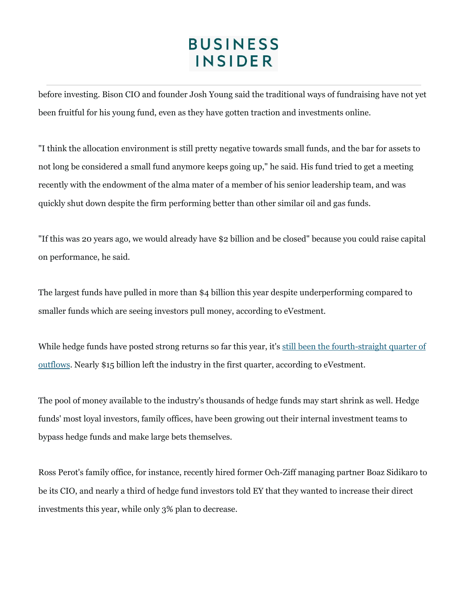before investing. Bison CIO and founder Josh Young said the traditional ways of fundraising have not yet been fruitful for his young fund, even as they have gotten traction and investments online.

"I think the allocation environment is still pretty negative towards small funds, and the bar for assets to not long be considered a small fund anymore keeps going up," he said. His fund tried to get a meeting recently with the endowment of the alma mater of a member of his senior leadership team, and was quickly shut down despite the firm performing better than other similar oil and gas funds.

"If this was 20 years ago, we would already have \$2 billion and be closed" because you could raise capital on performance, he said.

The largest funds have pulled in more than \$4 billion this year despite underperforming compared to smaller funds which are seeing investors pull money, according to eVestment.

While hedge funds have posted strong returns so far this year, it's still been the [fourth-straight](https://www.businessinsider.com/investors-boost-hedge-funds-this-year-not-traditional-stock-picking-2019-4) quarter of [outflows.](https://www.businessinsider.com/investors-boost-hedge-funds-this-year-not-traditional-stock-picking-2019-4) Nearly \$15 billion left the industry in the first quarter, according to eVestment.

The pool of money available to the industry's thousands of hedge funds may start shrink as well. Hedge funds' most loyal investors, family offices, have been growing out their internal investment teams to bypass hedge funds and make large bets themselves.

Ross Perot's family office, for instance, recently hired former Och-Ziff managing partner Boaz Sidikaro to be its CIO, and nearly a third of hedge fund investors told EY that they wanted to increase their direct investments this year, while only 3% plan to decrease.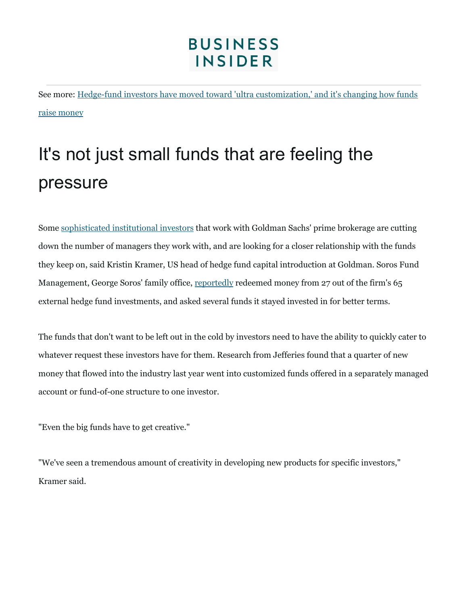See more: Hedge-fund investors have moved toward 'ultra [customization,'](https://www.businessinsider.com/hedge-funds-are-becoming-more-customized-2019-3) and it's changing how funds raise [money](https://www.businessinsider.com/hedge-funds-are-becoming-more-customized-2019-3)

# It's not just small funds that are feeling the pressure

Some [sophisticated](https://www.businessinsider.com/hedge-funds-are-becoming-less-risky-2019-2) institutional investors that work with Goldman Sachs' prime brokerage are cutting down the number of managers they work with, and are looking for a closer relationship with the funds they keep on, said Kristin Kramer, US head of hedge fund capital introduction at Goldman. Soros Fund Management, George Soros' family office, [reportedly](https://www.wsj.com/articles/soros-funds-new-leader-upends-firm-in-strategic-overhaul-11556098200) redeemed money from 27 out of the firm's 65 external hedge fund investments, and asked several funds it stayed invested in for better terms.

The funds that don't want to be left out in the cold by investors need to have the ability to quickly cater to whatever request these investors have for them. Research from Jefferies found that a quarter of new money that flowed into the industry last year went into customized funds offered in a separately managed account or fund-of-one structure to one investor.

"Even the big funds have to get creative."

"We've seen a tremendous amount of creativity in developing new products for specific investors," Kramer said.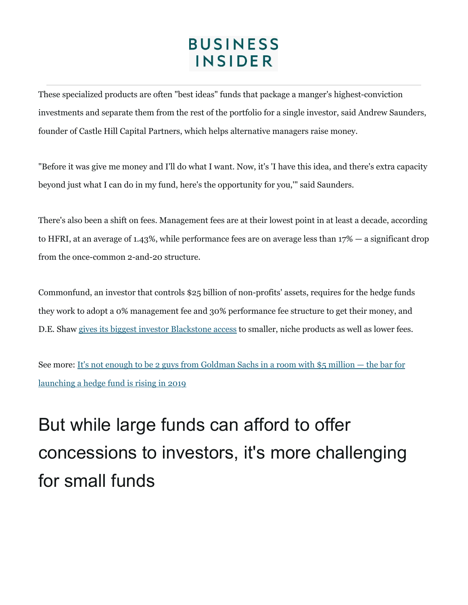These specialized products are often "best ideas" funds that package a manger's highest-conviction investments and separate them from the rest of the portfolio for a single investor, said Andrew Saunders, founder of Castle Hill Capital Partners, which helps alternative managers raise money.

"Before it was give me money and I'll do what I want. Now, it's 'I have this idea, and there's extra capacity beyond just what I can do in my fund, here's the opportunity for you,'" said Saunders.

There's also been a shift on fees. Management fees are at their lowest point in at least a decade, according to HFRI, at an average of 1.43%, while performance fees are on average less than 17% — a significant drop from the once-common 2-and-20 structure.

Commonfund, an investor that controls \$25 billion of non-profits' assets, requires for the hedge funds they work to adopt a 0% management fee and 30% performance fee structure to get their money, and D.E. Shaw gives its biggest investor [Blackstone](https://www.businessinsider.com/de-shaw-blackstone-2019-3) access to smaller, niche products as well as lower fees.

See more: It's not enough to be 2 guys from [Goldman](https://www.businessinsider.com/new-hedge-fund-launches-slowed-2019-2019-1) Sachs in a room with \$5 million — the bar for [launching](https://www.businessinsider.com/new-hedge-fund-launches-slowed-2019-2019-1) a hedge fund is rising in 2019

# But while large funds can afford to offer concessions to investors, it's more challenging for small funds